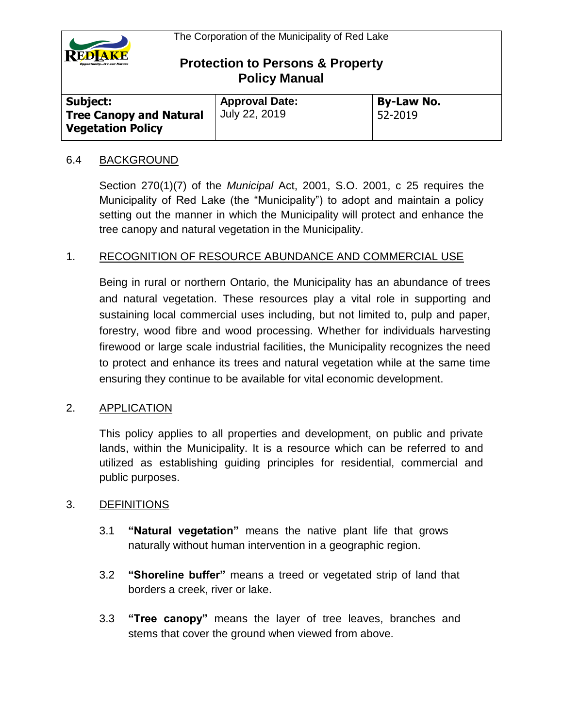

| Subject:                                                   | <b>Approval Date:</b> | <b>By-Law No.</b> |  |
|------------------------------------------------------------|-----------------------|-------------------|--|
| <b>Tree Canopy and Natural</b><br><b>Vegetation Policy</b> | July 22, 2019         | 52-2019           |  |

#### 6.4 BACKGROUND

Section 270(1)(7) of the *Municipal* Act, 2001, S.O. 2001, c 25 requires the Municipality of Red Lake (the "Municipality") to adopt and maintain a policy setting out the manner in which the Municipality will protect and enhance the tree canopy and natural vegetation in the Municipality.

### 1. RECOGNITION OF RESOURCE ABUNDANCE AND COMMERCIAL USE

Being in rural or northern Ontario, the Municipality has an abundance of trees and natural vegetation. These resources play a vital role in supporting and sustaining local commercial uses including, but not limited to, pulp and paper, forestry, wood fibre and wood processing. Whether for individuals harvesting firewood or large scale industrial facilities, the Municipality recognizes the need to protect and enhance its trees and natural vegetation while at the same time ensuring they continue to be available for vital economic development.

#### 2. APPLICATION

This policy applies to all properties and development, on public and private lands, within the Municipality. It is a resource which can be referred to and utilized as establishing guiding principles for residential, commercial and public purposes.

#### 3. DEFINITIONS

- 3.1 **"Natural vegetation"** means the native plant life that grows naturally without human intervention in a geographic region.
- 3.2 **"Shoreline buffer"** means a treed or vegetated strip of land that borders a creek, river or lake.
- 3.3 **"Tree canopy"** means the layer of tree leaves, branches and stems that cover the ground when viewed from above.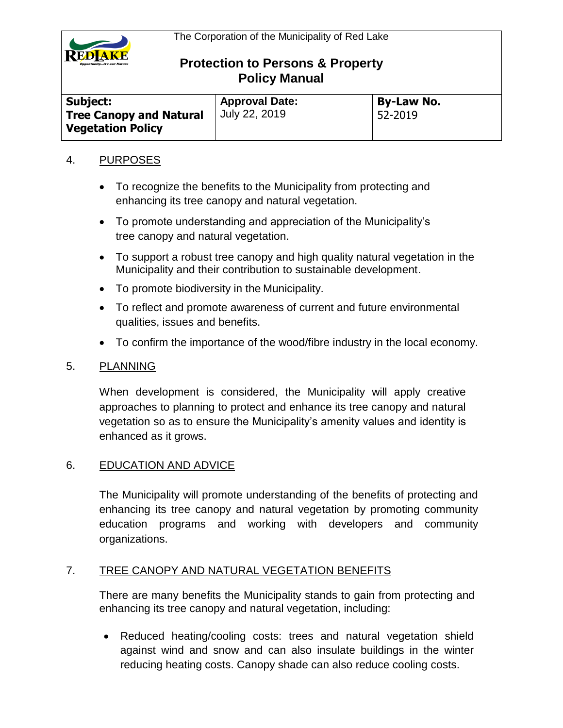

| <b>Subject:</b>                                            | <b>Approval Date:</b> | <b>By-Law No.</b> |  |
|------------------------------------------------------------|-----------------------|-------------------|--|
| <b>Tree Canopy and Natural</b><br><b>Vegetation Policy</b> | July 22, 2019         | 52-2019           |  |

#### 4. PURPOSES

- To recognize the benefits to the Municipality from protecting and enhancing its tree canopy and natural vegetation.
- To promote understanding and appreciation of the Municipality's tree canopy and natural vegetation.
- To support a robust tree canopy and high quality natural vegetation in the Municipality and their contribution to sustainable development.
- To promote biodiversity in the Municipality.
- To reflect and promote awareness of current and future environmental qualities, issues and benefits.
- To confirm the importance of the wood/fibre industry in the local economy.

### 5. PLANNING

When development is considered, the Municipality will apply creative approaches to planning to protect and enhance its tree canopy and natural vegetation so as to ensure the Municipality's amenity values and identity is enhanced as it grows.

### 6. EDUCATION AND ADVICE

The Municipality will promote understanding of the benefits of protecting and enhancing its tree canopy and natural vegetation by promoting community education programs and working with developers and community organizations.

### 7. TREE CANOPY AND NATURAL VEGETATION BENEFITS

There are many benefits the Municipality stands to gain from protecting and enhancing its tree canopy and natural vegetation, including:

 Reduced heating/cooling costs: trees and natural vegetation shield against wind and snow and can also insulate buildings in the winter reducing heating costs. Canopy shade can also reduce cooling costs.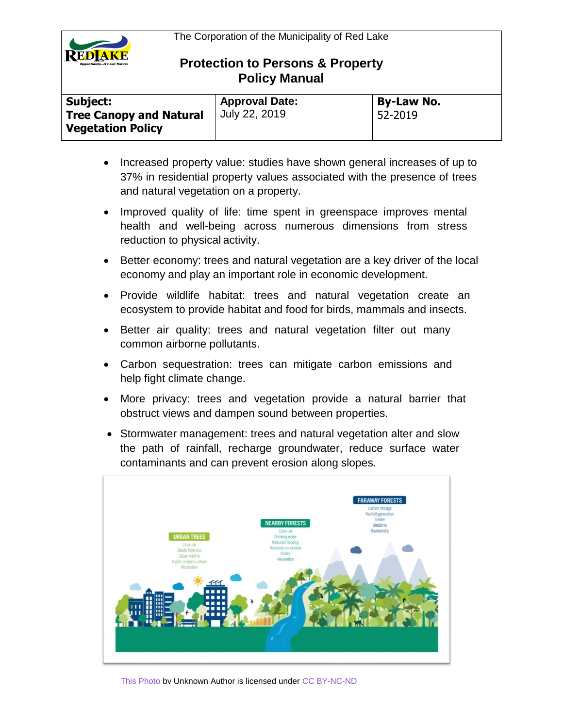

| Subject:                       | <b>Approval Date:</b> | <b>By-Law No.</b> |
|--------------------------------|-----------------------|-------------------|
| <b>Tree Canopy and Natural</b> | July 22, 2019         | 52-2019           |
| <b>Vegetation Policy</b>       |                       |                   |

- Increased property value: studies have shown general increases of up to 37% in residential property values associated with the presence of trees and natural vegetation on a property.
- Improved quality of life: time spent in greenspace improves mental health and well-being across numerous dimensions from stress reduction to physical activity.
- Better economy: trees and natural vegetation are a key driver of the local economy and play an important role in economic development.
- Provide wildlife habitat: trees and natural vegetation create an ecosystem to provide habitat and food for birds, mammals and insects.
- Better air quality: trees and natural vegetation filter out many common airborne pollutants.
- Carbon sequestration: trees can mitigate carbon emissions and help fight climate change.
- More privacy: trees and vegetation provide a natural barrier that obstruct views and dampen sound between properties.
- Stormwater management: trees and natural vegetation alter and slow the path of rainfall, recharge groundwater, reduce surface water contaminants and can prevent erosion along slopes.

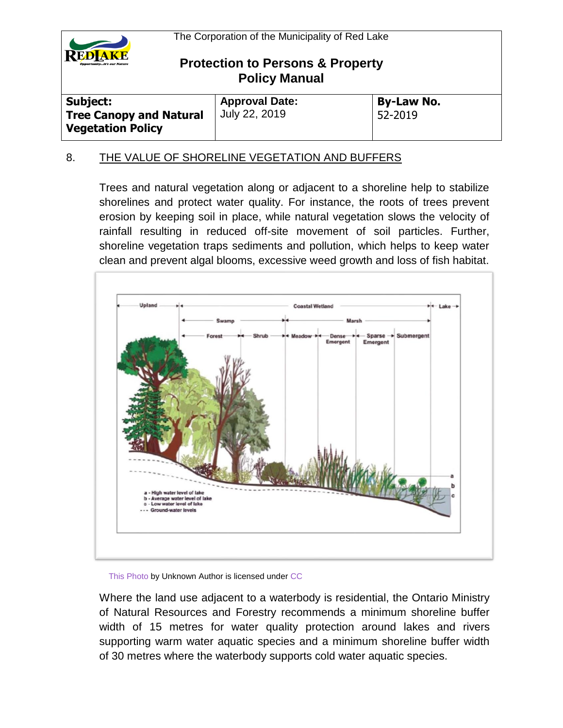

| <b>Subject:</b>                                            | <b>Approval Date:</b> | <b>By-Law No.</b> |
|------------------------------------------------------------|-----------------------|-------------------|
| <b>Tree Canopy and Natural</b><br><b>Vegetation Policy</b> | July 22, 2019         | 52-2019           |

### 8. THE VALUE OF SHORELINE VEGETATION AND BUFFERS

Trees and natural vegetation along or adjacent to a shoreline help to stabilize shorelines and protect water quality. For instance, the roots of trees prevent erosion by keeping soil in place, while natural vegetation slows the velocity of rainfall resulting in reduced off-site movement of soil particles. Further, shoreline vegetation traps sediments and pollution, which helps to keep water clean and prevent algal blooms, excessive weed growth and loss of fish habitat.



[This Photo b](https://en.wikipedia.org/wiki/Marsh)y Unknown Author is licensed under [CC](https://creativecommons.org/licenses/by-sa/3.0/) 

Where the land use adjacent to a waterbody is residential, the Ontario Ministry of Natural Resources and Forestry recommends a minimum shoreline buffer width of 15 metres for water quality protection around lakes and rivers supporting warm water aquatic species and a minimum shoreline buffer width of 30 metres where the waterbody supports cold water aquatic species.